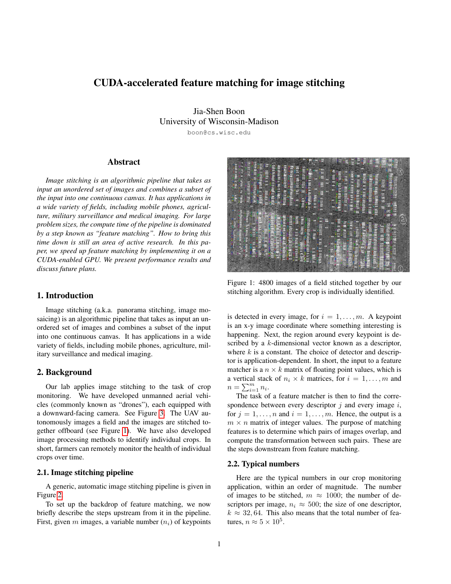# CUDA-accelerated feature matching for image stitching

Jia-Shen Boon University of Wisconsin-Madison

boon@cs.wisc.edu

## Abstract

*Image stitching is an algorithmic pipeline that takes as input an unordered set of images and combines a subset of the input into one continuous canvas. It has applications in a wide variety of fields, including mobile phones, agriculture, military surveillance and medical imaging. For large problem sizes, the compute time of the pipeline is dominated by a step known as "feature matching". How to bring this time down is still an area of active research. In this paper, we speed up feature matching by implementing it on a CUDA-enabled GPU. We present performance results and discuss future plans.*

## 1. Introduction

Image stitching (a.k.a. panorama stitching, image mosaicing) is an algorithmic pipeline that takes as input an unordered set of images and combines a subset of the input into one continuous canvas. It has applications in a wide variety of fields, including mobile phones, agriculture, military surveillance and medical imaging.

#### 2. Background

Our lab applies image stitching to the task of crop monitoring. We have developed unmanned aerial vehicles (commonly known as "drones"), each equipped with a downward-facing camera. See Figure [3.](#page-1-0) The UAV autonomously images a field and the images are stitched together offboard (see Figure [1\)](#page-0-0). We have also developed image processing methods to identify individual crops. In short, farmers can remotely monitor the health of individual crops over time.

### 2.1. Image stitching pipeline

A generic, automatic image stitching pipeline is given in Figure [2.](#page-2-0)

To set up the backdrop of feature matching, we now briefly describe the steps upstream from it in the pipeline. First, given  $m$  images, a variable number  $(n<sub>i</sub>)$  of keypoints

<span id="page-0-0"></span>

Figure 1: 4800 images of a field stitched together by our stitching algorithm. Every crop is individually identified.

is detected in every image, for  $i = 1, \ldots, m$ . A keypoint is an x-y image coordinate where something interesting is happening. Next, the region around every keypoint is described by a k-dimensional vector known as a descriptor, where  $k$  is a constant. The choice of detector and descriptor is application-dependent. In short, the input to a feature matcher is a  $n \times k$  matrix of floating point values, which is a vertical stack of  $n_i \times k$  matrices, for  $i = 1, \ldots, m$  and  $n = \sum_{i=1}^m n_i$ .

The task of a feature matcher is then to find the correspondence between every descriptor  $j$  and every image  $i$ , for  $j = 1, \ldots, n$  and  $i = 1, \ldots, m$ . Hence, the output is a  $m \times n$  matrix of integer values. The purpose of matching features is to determine which pairs of images overlap, and compute the transformation between such pairs. These are the steps downstream from feature matching.

#### 2.2. Typical numbers

Here are the typical numbers in our crop monitoring application, within an order of magnitude. The number of images to be stitched,  $m \approx 1000$ ; the number of descriptors per image,  $n_i \approx 500$ ; the size of one descriptor,  $k \approx 32,64$ . This also means that the total number of features,  $n \approx 5 \times 10^5$ .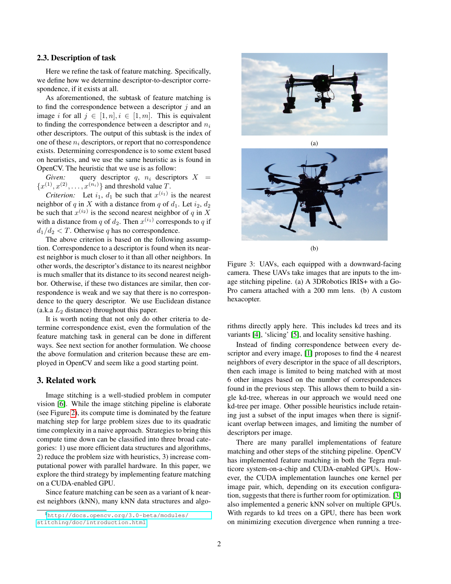#### 2.3. Description of task

Here we refine the task of feature matching. Specifically, we define how we determine descriptor-to-descriptor correspondence, if it exists at all.

As aforementioned, the subtask of feature matching is to find the correspondence between a descriptor  $i$  and an image i for all  $j \in [1, n], i \in [1, m]$ . This is equivalent to finding the correspondence between a descriptor and  $n_i$ other descriptors. The output of this subtask is the index of one of these  $n_i$  descriptors, or report that no correspondence exists. Determining correspondence is to some extent based on heuristics, and we use the same heuristic as is found in OpenCV. The heuristic that we use is as follow:

*Given:* query descriptor  $q$ ,  $n_i$  descriptors  $X =$  $\{x^{(1)}, x^{(2)}, \ldots, x^{(n_i)}\}$  and threshold value T.

*Criterion:* Let  $i_1$ ,  $d_1$  be such that  $x^{(i_1)}$  is the nearest neighbor of q in X with a distance from q of  $d_1$ . Let  $i_2$ ,  $d_2$ be such that  $x^{(i_2)}$  is the second nearest neighbor of q in X with a distance from q of  $d_2$ . Then  $x^{(i_1)}$  corresponds to q if  $d_1/d_2 < T$ . Otherwise q has no correspondence.

The above criterion is based on the following assumption. Correspondence to a descriptor is found when its nearest neighbor is much closer to it than all other neighbors. In other words, the descriptor's distance to its nearest neighbor is much smaller that its distance to its second nearest neighbor. Otherwise, if these two distances are similar, then correspondence is weak and we say that there is no correspondence to the query descriptor. We use Euclidean distance (a.k.a  $L_2$  distance) throughout this paper.

It is worth noting that not only do other criteria to determine correspondence exist, even the formulation of the feature matching task in general can be done in different ways. See next section for another formulation. We choose the above formulation and criterion because these are employed in OpenCV and seem like a good starting point.

### 3. Related work

Image stitching is a well-studied problem in computer vision [\[6\]](#page-4-0). While the image stitching pipeline is elaborate (see Figure [2\)](#page-2-0), its compute time is dominated by the feature matching step for large problem sizes due to its quadratic time complexity in a naive approach. Strategies to bring this compute time down can be classified into three broad categories: 1) use more efficient data structures and algorithms, 2) reduce the problem size with heuristics, 3) increase computational power with parallel hardware. In this paper, we explore the third strategy by implementing feature matching on a CUDA-enabled GPU.

Since feature matching can be seen as a variant of k nearest neighbors (kNN), many kNN data structures and algo-

<span id="page-1-0"></span>

(a)



(b)

Figure 3: UAVs, each equipped with a downward-facing camera. These UAVs take images that are inputs to the image stitching pipeline. (a) A 3DRobotics IRIS+ with a Go-Pro camera attached with a 200 mm lens. (b) A custom hexacopter.

rithms directly apply here. This includes kd trees and its variants [\[4\]](#page-4-1), 'slicing' [\[5\]](#page-4-2), and locality sensitive hashing.

Instead of finding correspondence between every descriptor and every image, [\[1\]](#page-4-3) proposes to find the 4 nearest neighbors of every descriptor in the space of all descriptors, then each image is limited to being matched with at most 6 other images based on the number of correspondences found in the previous step. This allows them to build a single kd-tree, whereas in our approach we would need one kd-tree per image. Other possible heuristics include retaining just a subset of the input images when there is significant overlap between images, and limiting the number of descriptors per image.

There are many parallel implementations of feature matching and other steps of the stitching pipeline. OpenCV has implemented feature matching in both the Tegra multicore system-on-a-chip and CUDA-enabled GPUs. However, the CUDA implementation launches one kernel per image pair, which, depending on its execution configuration, suggests that there is further room for optimization. [\[3\]](#page-4-4) also implemented a generic kNN solver on multiple GPUs. With regards to kd trees on a GPU, there has been work on minimizing execution divergence when running a tree-

<span id="page-1-1"></span><sup>1</sup>[http://docs.opencv.org/3.0-beta/modules/](http://docs.opencv.org/3.0-beta/modules/stitching/doc/introduction.html) [stitching/doc/introduction.html](http://docs.opencv.org/3.0-beta/modules/stitching/doc/introduction.html)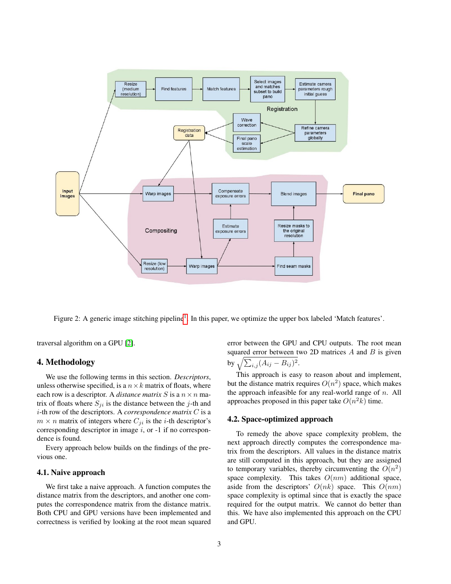<span id="page-2-0"></span>

Figure 2: A generic image stitching pipeline<sup>[1](#page-1-1)</sup>. In this paper, we optimize the upper box labeled 'Match features'.

traversal algorithm on a GPU [\[2\]](#page-4-5).

### 4. Methodology

We use the following terms in this section. *Descriptors*, unless otherwise specified, is a  $n \times k$  matrix of floats, where each row is a descriptor. A *distance matrix* S is a  $n \times n$  matrix of floats where  $S_{ji}$  is the distance between the j-th and i-th row of the descriptors. A *correspondence matrix* C is a  $m \times n$  matrix of integers where  $C_{ji}$  is the *i*-th descriptor's corresponding descriptor in image  $i$ , or  $-1$  if no correspondence is found.

Every approach below builds on the findings of the previous one.

#### 4.1. Naive approach

We first take a naive approach. A function computes the distance matrix from the descriptors, and another one computes the correspondence matrix from the distance matrix. Both CPU and GPU versions have been implemented and correctness is verified by looking at the root mean squared

error between the GPU and CPU outputs. The root mean squared error between two 2D matrices  $A$  and  $B$  is given by  $\sqrt{\sum_{i,j} (A_{ij} - B_{ij})^2}$ .

This approach is easy to reason about and implement, but the distance matrix requires  $O(n^2)$  space, which makes the approach infeasible for any real-world range of  $n$ . All approaches proposed in this paper take  $O(n^2k)$  time.

#### 4.2. Space-optimized approach

To remedy the above space complexity problem, the next approach directly computes the correspondence matrix from the descriptors. All values in the distance matrix are still computed in this approach, but they are assigned to temporary variables, thereby circumventing the  $O(n^2)$ space complexity. This takes  $O(nm)$  additional space, aside from the descriptors'  $O(nk)$  space. This  $O(nm)$ space complexity is optimal since that is exactly the space required for the output matrix. We cannot do better than this. We have also implemented this approach on the CPU and GPU.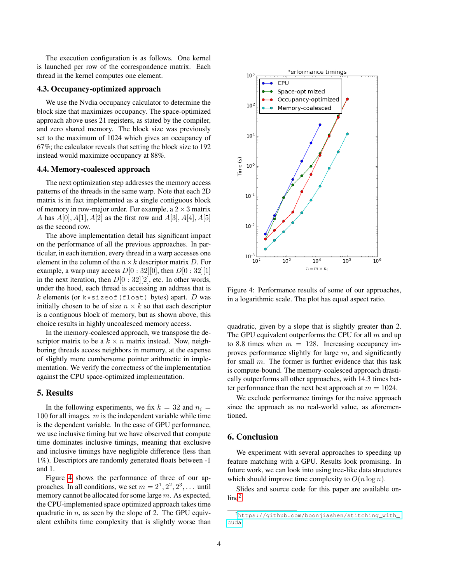The execution configuration is as follows. One kernel is launched per row of the correspondence matrix. Each thread in the kernel computes one element.

#### 4.3. Occupancy-optimized approach

We use the Nvdia occupancy calculator to determine the block size that maximizes occupancy. The space-optimized approach above uses 21 registers, as stated by the compiler, and zero shared memory. The block size was previously set to the maximum of 1024 which gives an occupancy of 67%; the calculator reveals that setting the block size to 192 instead would maximize occupancy at 88%.

### 4.4. Memory-coalesced approach

The next optimization step addresses the memory access patterns of the threads in the same warp. Note that each 2D matrix is in fact implemented as a single contiguous block of memory in row-major order. For example, a  $2 \times 3$  matrix A has  $A[0], A[1], A[2]$  as the first row and  $A[3], A[4], A[5]$ as the second row.

The above implementation detail has significant impact on the performance of all the previous approaches. In particular, in each iteration, every thread in a warp accesses one element in the column of the  $n \times k$  descriptor matrix D. For example, a warp may access  $D[0:32][0]$ , then  $D[0:32][1]$ in the next iteration, then  $D[0:32][2]$ , etc. In other words, under the hood, each thread is accessing an address that is k elements (or  $k \times s$ izeof(float) bytes) apart. D was initially chosen to be of size  $n \times k$  so that each descriptor is a contiguous block of memory, but as shown above, this choice results in highly uncoalesced memory access.

In the memory-coalesced approach, we transpose the descriptor matrix to be a  $k \times n$  matrix instead. Now, neighboring threads access neighbors in memory, at the expense of slightly more cumbersome pointer arithmetic in implementation. We verify the correctness of the implementation against the CPU space-optimized implementation.

### 5. Results

In the following experiments, we fix  $k = 32$  and  $n_i =$ 100 for all images.  $m$  is the independent variable while time is the dependent variable. In the case of GPU performance, we use inclusive timing but we have observed that compute time dominates inclusive timings, meaning that exclusive and inclusive timings have negligible difference (less than 1%). Descriptors are randomly generated floats between -1 and 1.

Figure [4](#page-3-0) shows the performance of three of our approaches. In all conditions, we set  $m = 2^1, 2^2, 2^3, \dots$  until memory cannot be allocated for some large m. As expected, the CPU-implemented space optimized approach takes time quadratic in  $n$ , as seen by the slope of 2. The GPU equivalent exhibits time complexity that is slightly worse than

<span id="page-3-0"></span>

Figure 4: Performance results of some of our approaches, in a logarithmic scale. The plot has equal aspect ratio.

quadratic, given by a slope that is slightly greater than 2. The GPU equivalent outperforms the CPU for all  $m$  and up to 8.8 times when  $m = 128$ . Increasing occupancy improves performance slightly for large  $m$ , and significantly for small m. The former is further evidence that this task is compute-bound. The memory-coalesced approach drastically outperforms all other approaches, with 14.3 times better performance than the next best approach at  $m = 1024$ .

We exclude performance timings for the naive approach since the approach as no real-world value, as aforementioned.

### 6. Conclusion

We experiment with several approaches to speeding up feature matching with a GPU. Results look promising. In future work, we can look into using tree-like data structures which should improve time complexity to  $O(n \log n)$ .

Slides and source code for this paper are available on- $line<sup>2</sup>$  $line<sup>2</sup>$  $line<sup>2</sup>$ .

<span id="page-3-1"></span><sup>2</sup>[https://github.com/boonjiashen/stitching\\_with\\_](https://github.com/boonjiashen/stitching_with_cuda) [cuda](https://github.com/boonjiashen/stitching_with_cuda)